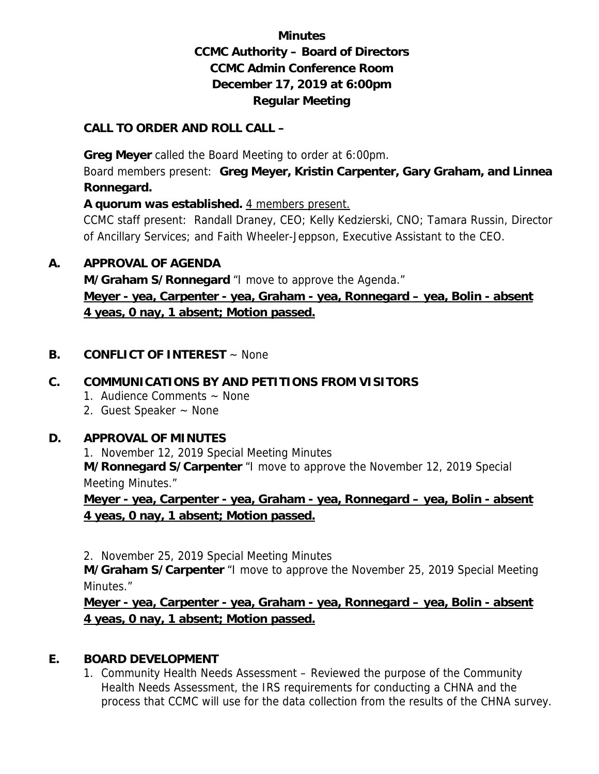# **Minutes CCMC Authority – Board of Directors CCMC Admin Conference Room December 17, 2019 at 6:00pm Regular Meeting**

#### **CALL TO ORDER AND ROLL CALL –**

 **Greg Meyer** called the Board Meeting to order at 6:00pm.

Board members present: **Greg Meyer, Kristin Carpenter, Gary Graham, and Linnea Ronnegard.** 

**A quorum was established.** 4 members present.

CCMC staff present: Randall Draney, CEO; Kelly Kedzierski, CNO; Tamara Russin, Director of Ancillary Services; and Faith Wheeler-Jeppson, Executive Assistant to the CEO.

#### **A. APPROVAL OF AGENDA**

**M/Graham S/Ronnegard** "I move to approve the Agenda." **Meyer - yea, Carpenter - yea, Graham - yea, Ronnegard – yea, Bolin - absent 4 yeas, 0 nay, 1 absent; Motion passed.** 

## **B. CONFLICT OF INTEREST** ~ None

## **C. COMMUNICATIONS BY AND PETITIONS FROM VISITORS**

- 1. Audience Comments ~ None
- 2. Guest Speaker ~ None

#### **D. APPROVAL OF MINUTES**

1. November 12, 2019 Special Meeting Minutes

**M/Ronnegard S/Carpenter** "I move to approve the November 12, 2019 Special Meeting Minutes."

**Meyer - yea, Carpenter - yea, Graham - yea, Ronnegard – yea, Bolin - absent 4 yeas, 0 nay, 1 absent; Motion passed.** 

2. November 25, 2019 Special Meeting Minutes

**M/Graham S/Carpenter** "I move to approve the November 25, 2019 Special Meeting Minutes."

**Meyer - yea, Carpenter - yea, Graham - yea, Ronnegard – yea, Bolin - absent 4 yeas, 0 nay, 1 absent; Motion passed.** 

## **E. BOARD DEVELOPMENT**

1. Community Health Needs Assessment – Reviewed the purpose of the Community Health Needs Assessment, the IRS requirements for conducting a CHNA and the process that CCMC will use for the data collection from the results of the CHNA survey.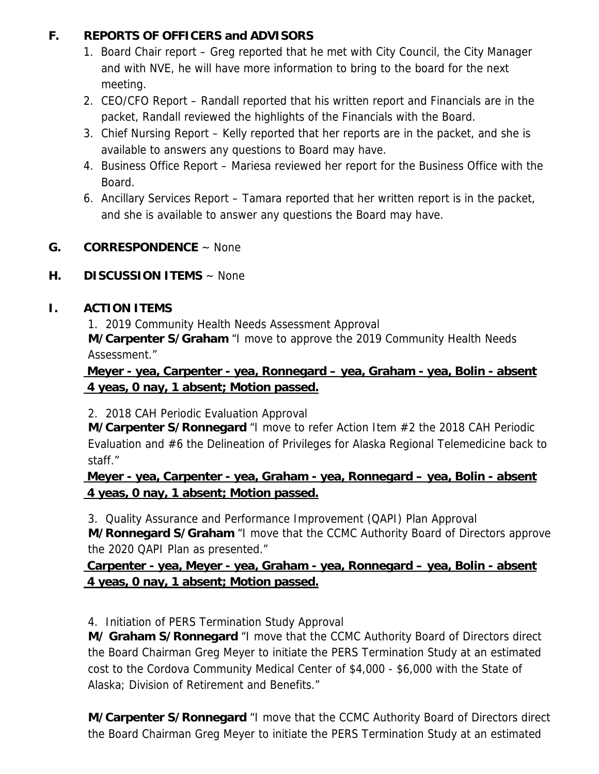## **F. REPORTS OF OFFICERS and ADVISORS**

- 1. Board Chair report Greg reported that he met with City Council, the City Manager and with NVE, he will have more information to bring to the board for the next meeting.
- 2. CEO/CFO Report Randall reported that his written report and Financials are in the packet, Randall reviewed the highlights of the Financials with the Board.
- 3. Chief Nursing Report Kelly reported that her reports are in the packet, and she is available to answers any questions to Board may have.
- 4. Business Office Report Mariesa reviewed her report for the Business Office with the Board.
- 6. Ancillary Services Report Tamara reported that her written report is in the packet, and she is available to answer any questions the Board may have.

## **G. CORRESPONDENCE** ~ None

#### **H. DISCUSSION ITEMS** ~ None

## **I. ACTION ITEMS**

1. 2019 Community Health Needs Assessment Approval

**M/Carpenter S/Graham** "I move to approve the 2019 Community Health Needs Assessment."

## **Meyer - yea, Carpenter - yea, Ronnegard – yea, Graham - yea, Bolin - absent 4 yeas, 0 nay, 1 absent; Motion passed.**

2. 2018 CAH Periodic Evaluation Approval

**M/Carpenter S/Ronnegard** "I move to refer Action Item #2 the 2018 CAH Periodic Evaluation and #6 the Delineation of Privileges for Alaska Regional Telemedicine back to staff."

## **Meyer - yea, Carpenter - yea, Graham - yea, Ronnegard – yea, Bolin - absent 4 yeas, 0 nay, 1 absent; Motion passed.**

3. Quality Assurance and Performance Improvement (QAPI) Plan Approval

**M/Ronnegard S/Graham** "I move that the CCMC Authority Board of Directors approve the 2020 QAPI Plan as presented."

 **Carpenter - yea, Meyer - yea, Graham - yea, Ronnegard – yea, Bolin - absent 4 yeas, 0 nay, 1 absent; Motion passed.** 

4. Initiation of PERS Termination Study Approval

**M/ Graham S/Ronnegard** "I move that the CCMC Authority Board of Directors direct the Board Chairman Greg Meyer to initiate the PERS Termination Study at an estimated cost to the Cordova Community Medical Center of \$4,000 - \$6,000 with the State of Alaska; Division of Retirement and Benefits."

**M/Carpenter S/Ronnegard** "I move that the CCMC Authority Board of Directors direct the Board Chairman Greg Meyer to initiate the PERS Termination Study at an estimated